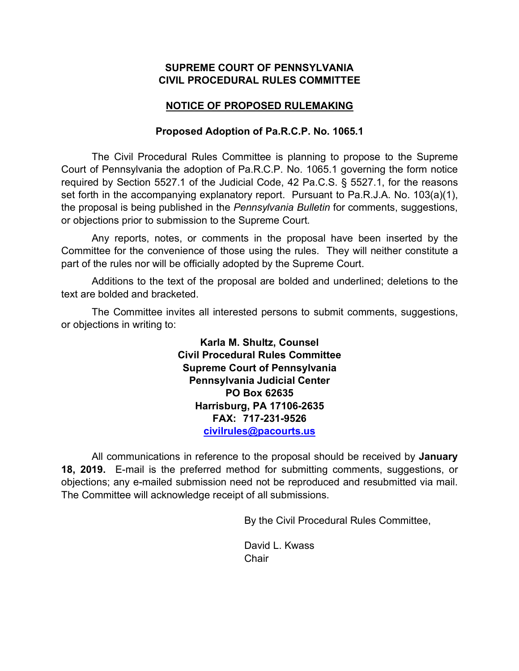### **SUPREME COURT OF PENNSYLVANIA CIVIL PROCEDURAL RULES COMMITTEE**

## **NOTICE OF PROPOSED RULEMAKING**

### **Proposed Adoption of Pa.R.C.P. No. 1065.1**

The Civil Procedural Rules Committee is planning to propose to the Supreme Court of Pennsylvania the adoption of Pa.R.C.P. No. 1065.1 governing the form notice required by Section 5527.1 of the Judicial Code, 42 Pa.C.S. § 5527.1, for the reasons set forth in the accompanying explanatory report. Pursuant to Pa.R.J.A. No. 103(a)(1), the proposal is being published in the *Pennsylvania Bulletin* for comments, suggestions, or objections prior to submission to the Supreme Court.

Any reports, notes, or comments in the proposal have been inserted by the Committee for the convenience of those using the rules. They will neither constitute a part of the rules nor will be officially adopted by the Supreme Court.

Additions to the text of the proposal are bolded and underlined; deletions to the text are bolded and bracketed.

The Committee invites all interested persons to submit comments, suggestions, or objections in writing to:

> **Karla M. Shultz, Counsel Civil Procedural Rules Committee Supreme Court of Pennsylvania Pennsylvania Judicial Center PO Box 62635 Harrisburg, PA 17106-2635 FAX: 717-231-9526 civilrules@pacourts.us**

All communications in reference to the proposal should be received by **January 18, 2019.** E-mail is the preferred method for submitting comments, suggestions, or objections; any e-mailed submission need not be reproduced and resubmitted via mail. The Committee will acknowledge receipt of all submissions.

By the Civil Procedural Rules Committee,

David L. Kwass **Chair**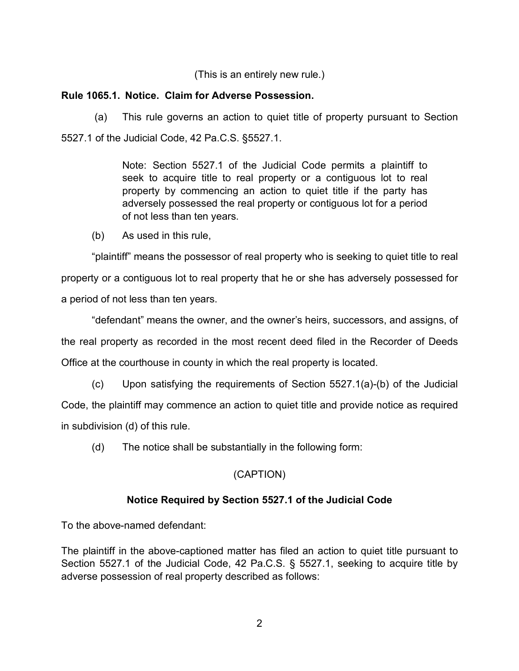(This is an entirely new rule.)

### **Rule 1065.1. Notice. Claim for Adverse Possession.**

(a) This rule governs an action to quiet title of property pursuant to Section 5527.1 of the Judicial Code, 42 Pa.C.S. §5527.1.

> Note: Section 5527.1 of the Judicial Code permits a plaintiff to seek to acquire title to real property or a contiguous lot to real property by commencing an action to quiet title if the party has adversely possessed the real property or contiguous lot for a period of not less than ten years.

(b) As used in this rule,

"plaintiff" means the possessor of real property who is seeking to quiet title to real property or a contiguous lot to real property that he or she has adversely possessed for a period of not less than ten years.

"defendant" means the owner, and the owner's heirs, successors, and assigns, of the real property as recorded in the most recent deed filed in the Recorder of Deeds Office at the courthouse in county in which the real property is located.

(c) Upon satisfying the requirements of Section 5527.1(a)-(b) of the Judicial Code, the plaintiff may commence an action to quiet title and provide notice as required in subdivision (d) of this rule.

(d) The notice shall be substantially in the following form:

# (CAPTION)

# **Notice Required by Section 5527.1 of the Judicial Code**

To the above-named defendant:

The plaintiff in the above-captioned matter has filed an action to quiet title pursuant to Section 5527.1 of the Judicial Code, 42 Pa.C.S. § 5527.1, seeking to acquire title by adverse possession of real property described as follows: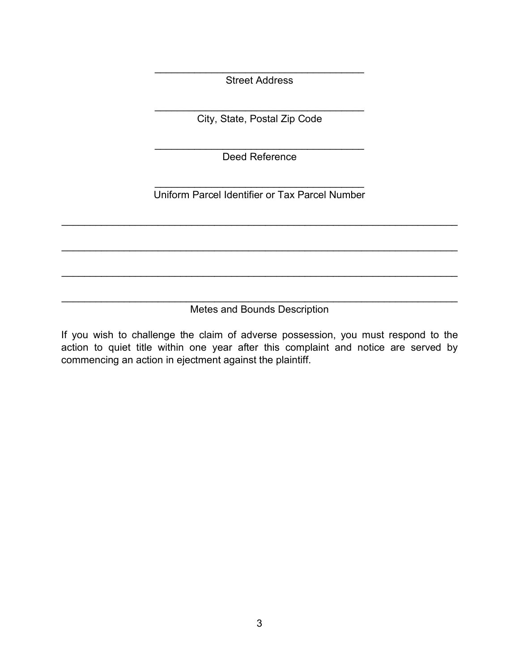$\mathcal{L}_\text{max}$  , where  $\mathcal{L}_\text{max}$  and  $\mathcal{L}_\text{max}$  and  $\mathcal{L}_\text{max}$  and  $\mathcal{L}_\text{max}$ Street Address

 $\mathcal{L}_\text{max}$  , and the set of the set of the set of the set of the set of the set of the set of the set of the set of the set of the set of the set of the set of the set of the set of the set of the set of the set of the City, State, Postal Zip Code

 $\mathcal{L}_\text{max}$  , where  $\mathcal{L}_\text{max}$  and  $\mathcal{L}_\text{max}$  and  $\mathcal{L}_\text{max}$  and  $\mathcal{L}_\text{max}$ Deed Reference

 $\mathcal{L}_\text{max}$  , and the set of the set of the set of the set of the set of the set of the set of the set of the set of the set of the set of the set of the set of the set of the set of the set of the set of the set of the Uniform Parcel Identifier or Tax Parcel Number

 $\mathcal{L}_\text{max} = \mathcal{L}_\text{max} = \mathcal{L}_\text{max} = \mathcal{L}_\text{max} = \mathcal{L}_\text{max} = \mathcal{L}_\text{max} = \mathcal{L}_\text{max} = \mathcal{L}_\text{max} = \mathcal{L}_\text{max} = \mathcal{L}_\text{max} = \mathcal{L}_\text{max} = \mathcal{L}_\text{max} = \mathcal{L}_\text{max} = \mathcal{L}_\text{max} = \mathcal{L}_\text{max} = \mathcal{L}_\text{max} = \mathcal{L}_\text{max} = \mathcal{L}_\text{max} = \mathcal{$ 

 $\mathcal{L}_\text{max} = \mathcal{L}_\text{max} = \mathcal{L}_\text{max} = \mathcal{L}_\text{max} = \mathcal{L}_\text{max} = \mathcal{L}_\text{max} = \mathcal{L}_\text{max} = \mathcal{L}_\text{max} = \mathcal{L}_\text{max} = \mathcal{L}_\text{max} = \mathcal{L}_\text{max} = \mathcal{L}_\text{max} = \mathcal{L}_\text{max} = \mathcal{L}_\text{max} = \mathcal{L}_\text{max} = \mathcal{L}_\text{max} = \mathcal{L}_\text{max} = \mathcal{L}_\text{max} = \mathcal{$ 

 $\mathcal{L}_\text{max} = \mathcal{L}_\text{max} = \mathcal{L}_\text{max} = \mathcal{L}_\text{max} = \mathcal{L}_\text{max} = \mathcal{L}_\text{max} = \mathcal{L}_\text{max} = \mathcal{L}_\text{max} = \mathcal{L}_\text{max} = \mathcal{L}_\text{max} = \mathcal{L}_\text{max} = \mathcal{L}_\text{max} = \mathcal{L}_\text{max} = \mathcal{L}_\text{max} = \mathcal{L}_\text{max} = \mathcal{L}_\text{max} = \mathcal{L}_\text{max} = \mathcal{L}_\text{max} = \mathcal{$ 

 $\mathcal{L}_\text{max} = \mathcal{L}_\text{max} = \mathcal{L}_\text{max} = \mathcal{L}_\text{max} = \mathcal{L}_\text{max} = \mathcal{L}_\text{max} = \mathcal{L}_\text{max} = \mathcal{L}_\text{max} = \mathcal{L}_\text{max} = \mathcal{L}_\text{max} = \mathcal{L}_\text{max} = \mathcal{L}_\text{max} = \mathcal{L}_\text{max} = \mathcal{L}_\text{max} = \mathcal{L}_\text{max} = \mathcal{L}_\text{max} = \mathcal{L}_\text{max} = \mathcal{L}_\text{max} = \mathcal{$ Metes and Bounds Description

If you wish to challenge the claim of adverse possession, you must respond to the action to quiet title within one year after this complaint and notice are served by commencing an action in ejectment against the plaintiff.